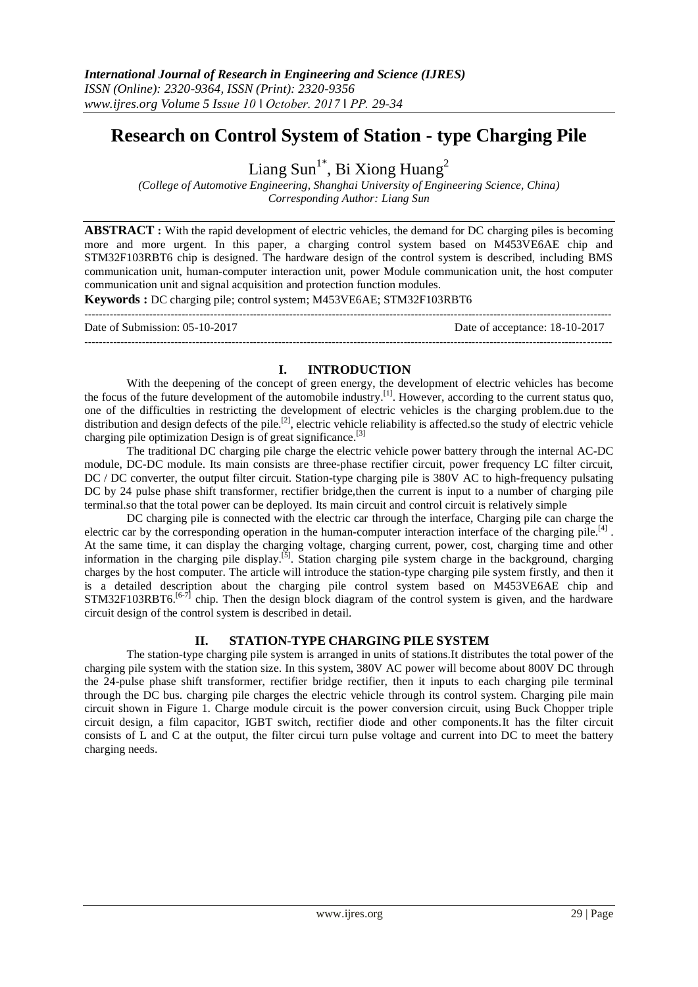# **Research on Control System of Station - type Charging Pile**

Liang Sun<sup>1\*</sup>, Bi Xiong Huang<sup>2</sup>

*(College of Automotive Engineering, Shanghai University of Engineering Science, China) Corresponding Author: Liang Sun*

**ABSTRACT :** With the rapid development of electric vehicles, the demand for DC charging piles is becoming more and more urgent. In this paper, a charging control system based on M453VE6AE chip and STM32F103RBT6 chip is designed. The hardware design of the control system is described, including BMS communication unit, human-computer interaction unit, power Module communication unit, the host computer communication unit and signal acquisition and protection function modules.

**Keywords :** DC charging pile; control system; M453VE6AE; STM32F103RBT6

--------------------------------------------------------------------------------------------------------------------------------------------------- Date of Submission: 05-10-2017 Date of acceptance: 18-10-2017 ---------------------------------------------------------------------------------------------------------------------------------------------------

## **I. INTRODUCTION**

With the deepening of the concept of green energy, the development of electric vehicles has become the focus of the future development of the automobile industry.<sup>[1]</sup>. However, according to the current status quo, one of the difficulties in restricting the development of electric vehicles is the charging problem.due to the distribution and design defects of the pile.<sup>[2]</sup>, electric vehicle reliability is affected so the study of electric vehicle charging pile optimization Design is of great significance.<sup>[3]</sup>

The traditional DC charging pile charge the electric vehicle power battery through the internal AC-DC module, DC-DC module. Its main consists are three-phase rectifier circuit, power frequency LC filter circuit, DC / DC converter, the output filter circuit. Station-type charging pile is 380V AC to high-frequency pulsating DC by 24 pulse phase shift transformer, rectifier bridge,then the current is input to a number of charging pile terminal.so that the total power can be deployed. Its main circuit and control circuit is relatively simple

DC charging pile is connected with the electric car through the interface, Charging pile can charge the electric car by the corresponding operation in the human-computer interaction interface of the charging pile.<sup>[4]</sup>. At the same time, it can display the charging voltage, charging current, power, cost, charging time and other information in the charging pile display.<sup>[5]</sup>. Station charging pile system charge in the background, charging charges by the host computer. The article will introduce the station-type charging pile system firstly, and then it is a detailed description about the charging pile control system based on M453VE6AE chip and STM32F103RBT6.<sup>[6-7]</sup> chip. Then the design block diagram of the control system is given, and the hardware circuit design of the control system is described in detail.

## **II. STATION-TYPE CHARGING PILE SYSTEM**

The station-type charging pile system is arranged in units of stations.It distributes the total power of the charging pile system with the station size. In this system, 380V AC power will become about 800V DC through the 24-pulse phase shift transformer, rectifier bridge rectifier, then it inputs to each charging pile terminal through the DC bus. charging pile charges the electric vehicle through its control system. Charging pile main circuit shown in Figure 1. Charge module circuit is the power conversion circuit, using Buck Chopper triple circuit design, a film capacitor, IGBT switch, rectifier diode and other components.It has the filter circuit consists of L and C at the output, the filter circui turn pulse voltage and current into DC to meet the battery charging needs.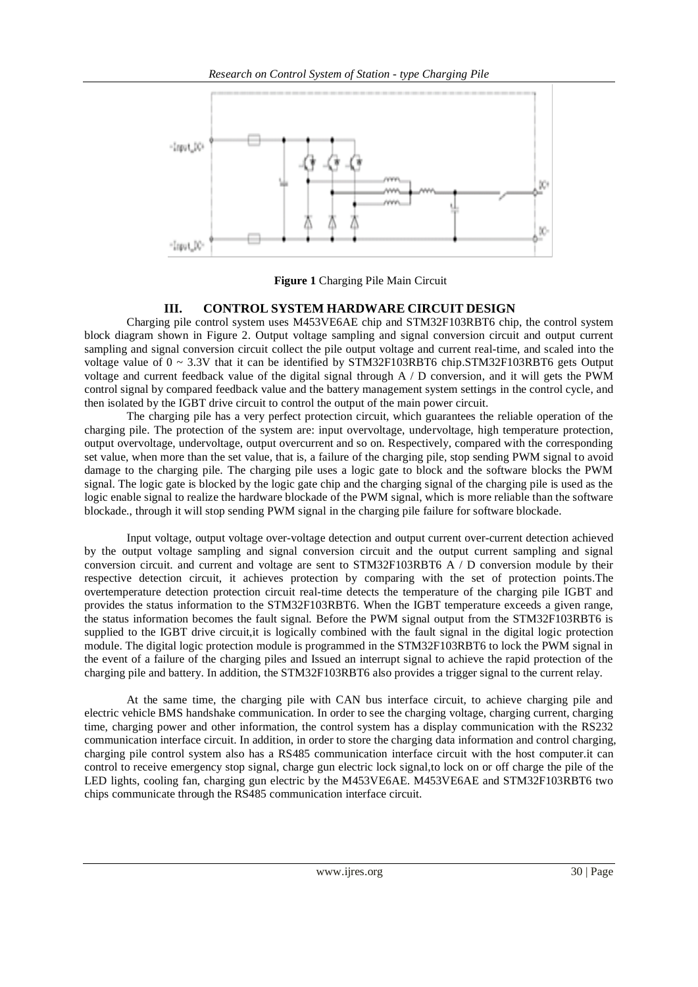

**Figure 1** Charging Pile Main Circuit

## **III. CONTROL SYSTEM HARDWARE CIRCUIT DESIGN**

Charging pile control system uses M453VE6AE chip and STM32F103RBT6 chip, the control system block diagram shown in Figure 2. Output voltage sampling and signal conversion circuit and output current sampling and signal conversion circuit collect the pile output voltage and current real-time, and scaled into the voltage value of  $0 \sim 3.3V$  that it can be identified by STM32F103RBT6 chip.STM32F103RBT6 gets Output voltage and current feedback value of the digital signal through A / D conversion, and it will gets the PWM control signal by compared feedback value and the battery management system settings in the control cycle, and then isolated by the IGBT drive circuit to control the output of the main power circuit.

The charging pile has a very perfect protection circuit, which guarantees the reliable operation of the charging pile. The protection of the system are: input overvoltage, undervoltage, high temperature protection, output overvoltage, undervoltage, output overcurrent and so on. Respectively, compared with the corresponding set value, when more than the set value, that is, a failure of the charging pile, stop sending PWM signal to avoid damage to the charging pile. The charging pile uses a logic gate to block and the software blocks the PWM signal. The logic gate is blocked by the logic gate chip and the charging signal of the charging pile is used as the logic enable signal to realize the hardware blockade of the PWM signal, which is more reliable than the software blockade., through it will stop sending PWM signal in the charging pile failure for software blockade.

Input voltage, output voltage over-voltage detection and output current over-current detection achieved by the output voltage sampling and signal conversion circuit and the output current sampling and signal conversion circuit. and current and voltage are sent to STM32F103RBT6 A / D conversion module by their respective detection circuit, it achieves protection by comparing with the set of protection points.The overtemperature detection protection circuit real-time detects the temperature of the charging pile IGBT and provides the status information to the STM32F103RBT6. When the IGBT temperature exceeds a given range, the status information becomes the fault signal. Before the PWM signal output from the STM32F103RBT6 is supplied to the IGBT drive circuit, it is logically combined with the fault signal in the digital logic protection module. The digital logic protection module is programmed in the STM32F103RBT6 to lock the PWM signal in the event of a failure of the charging piles and Issued an interrupt signal to achieve the rapid protection of the charging pile and battery. In addition, the STM32F103RBT6 also provides a trigger signal to the current relay.

At the same time, the charging pile with CAN bus interface circuit, to achieve charging pile and electric vehicle BMS handshake communication. In order to see the charging voltage, charging current, charging time, charging power and other information, the control system has a display communication with the RS232 communication interface circuit. In addition, in order to store the charging data information and control charging, charging pile control system also has a RS485 communication interface circuit with the host computer.it can control to receive emergency stop signal, charge gun electric lock signal,to lock on or off charge the pile of the LED lights, cooling fan, charging gun electric by the M453VE6AE. M453VE6AE and STM32F103RBT6 two chips communicate through the RS485 communication interface circuit.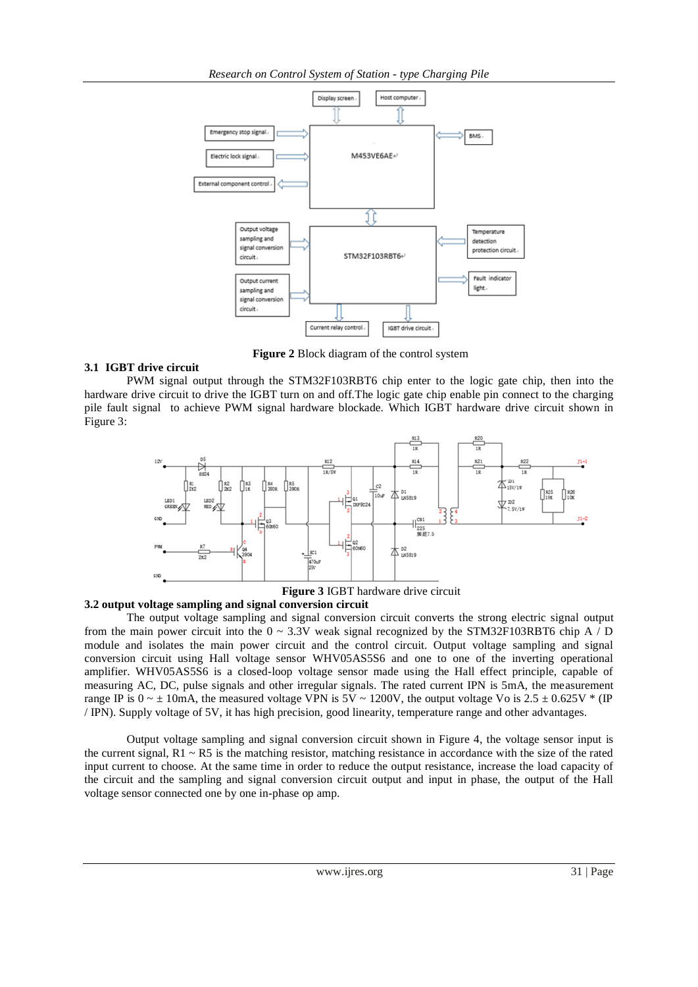

**Figure 2** Block diagram of the control system

### **3.1 IGBT drive circuit**

PWM signal output through the STM32F103RBT6 chip enter to the logic gate chip, then into the hardware drive circuit to drive the IGBT turn on and off.The logic gate chip enable pin connect to the charging pile fault signal to achieve PWM signal hardware blockade. Which IGBT hardware drive circuit shown in Figure 3:



**3.2 output voltage sampling and signal conversion circuit**

The output voltage sampling and signal conversion circuit converts the strong electric signal output from the main power circuit into the  $0 \sim 3.3V$  weak signal recognized by the STM32F103RBT6 chip A / D module and isolates the main power circuit and the control circuit. Output voltage sampling and signal conversion circuit using Hall voltage sensor WHV05AS5S6 and one to one of the inverting operational amplifier. WHV05AS5S6 is a closed-loop voltage sensor made using the Hall effect principle, capable of measuring AC, DC, pulse signals and other irregular signals. The rated current IPN is 5mA, the measurement range IP is  $0 \sim \pm 10$ mA, the measured voltage VPN is  $5V \sim 1200V$ , the output voltage Vo is  $2.5 \pm 0.625V$  \* (IP / IPN). Supply voltage of 5V, it has high precision, good linearity, temperature range and other advantages.

Output voltage sampling and signal conversion circuit shown in Figure 4, the voltage sensor input is the current signal,  $R1 \sim R5$  is the matching resistor, matching resistance in accordance with the size of the rated input current to choose. At the same time in order to reduce the output resistance, increase the load capacity of the circuit and the sampling and signal conversion circuit output and input in phase, the output of the Hall voltage sensor connected one by one in-phase op amp.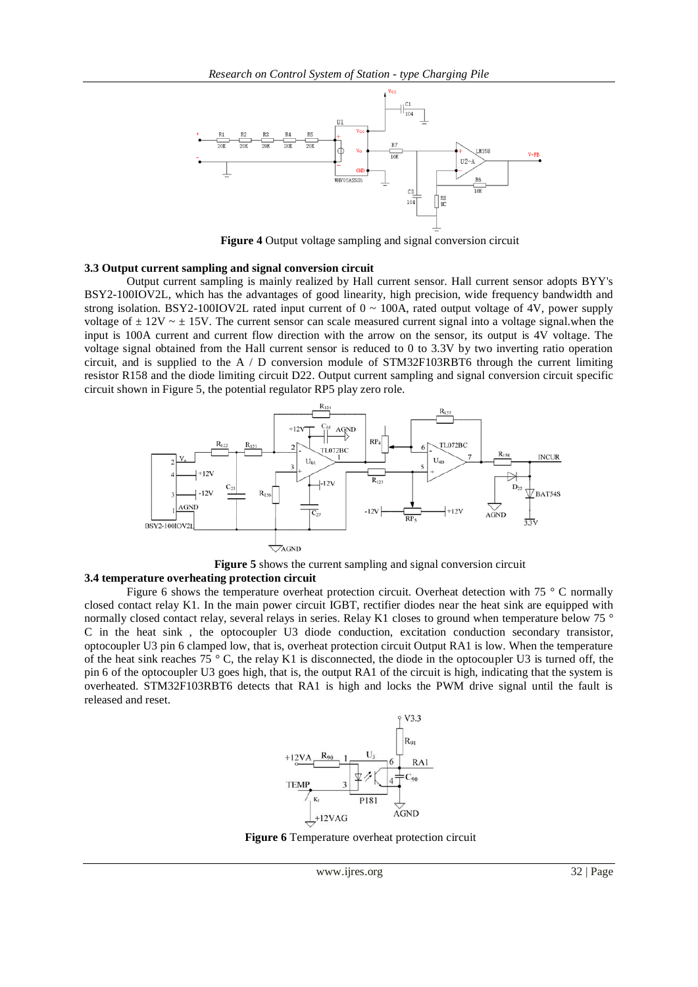

**Figure 4** Output voltage sampling and signal conversion circuit

#### **3.3 Output current sampling and signal conversion circuit**

released and reset.

Output current sampling is mainly realized by Hall current sensor. Hall current sensor adopts BYY's BSY2-100IOV2L, which has the advantages of good linearity, high precision, wide frequency bandwidth and strong isolation. BSY2-100IOV2L rated input current of  $0 \sim 100$ A, rated output voltage of 4V, power supply voltage of  $\pm$  12V  $\sim$   $\pm$  15V. The current sensor can scale measured current signal into a voltage signal.when the input is 100A current and current flow direction with the arrow on the sensor, its output is 4V voltage. The voltage signal obtained from the Hall current sensor is reduced to 0 to 3.3V by two inverting ratio operation circuit, and is supplied to the  $A / D$  conversion module of STM32F103RBT6 through the current limiting resistor R158 and the diode limiting circuit D22. Output current sampling and signal conversion circuit specific circuit shown in Figure 5, the potential regulator RP5 play zero role.





#### **3.4 temperature overheating protection circuit** Figure 6 shows the temperature overheat protection circuit. Overheat detection with 75 ° C normally closed contact relay K1. In the main power circuit IGBT, rectifier diodes near the heat sink are equipped with normally closed contact relay, several relays in series. Relay K1 closes to ground when temperature below 75 ° C in the heat sink , the optocoupler U3 diode conduction, excitation conduction secondary transistor, optocoupler U3 pin 6 clamped low, that is, overheat protection circuit Output RA1 is low. When the temperature of the heat sink reaches 75  $\degree$  C, the relay K1 is disconnected, the diode in the optocoupler U3 is turned off, the pin 6 of the optocoupler U3 goes high, that is, the output RA1 of the circuit is high, indicating that the system is overheated. STM32F103RBT6 detects that RA1 is high and locks the PWM drive signal until the fault is



**Figure 6** Temperature overheat protection circuit

www.ijres.org 32 | Page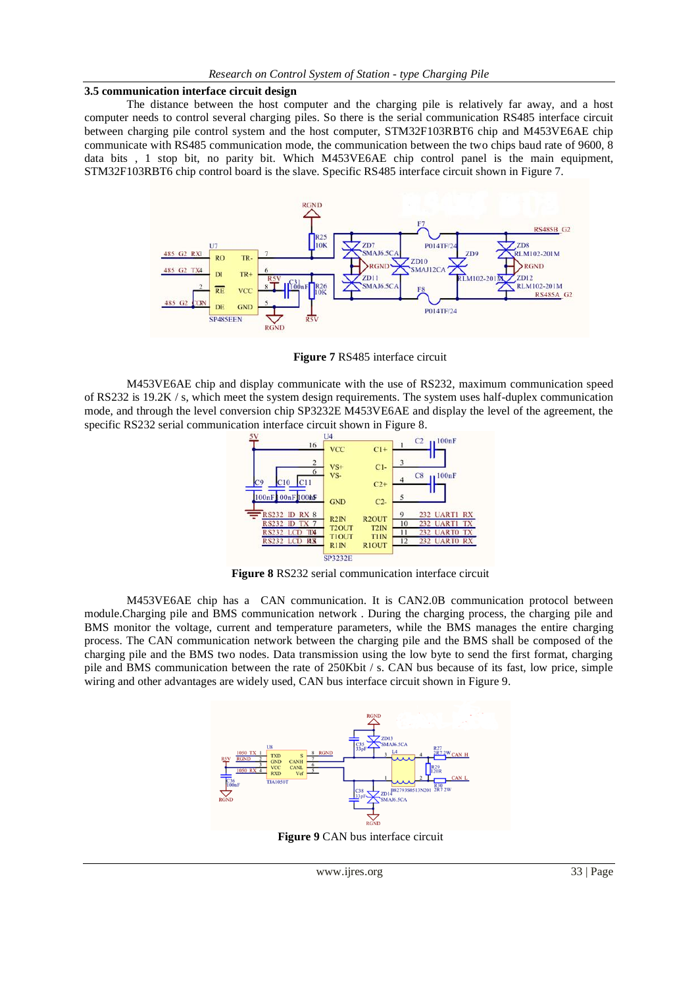#### **3.5 communication interface circuit design**

The distance between the host computer and the charging pile is relatively far away, and a host computer needs to control several charging piles. So there is the serial communication RS485 interface circuit between charging pile control system and the host computer, STM32F103RBT6 chip and M453VE6AE chip communicate with RS485 communication mode, the communication between the two chips baud rate of 9600, 8 data bits , 1 stop bit, no parity bit. Which M453VE6AE chip control panel is the main equipment, STM32F103RBT6 chip control board is the slave. Specific RS485 interface circuit shown in Figure 7.



**Figure 7** RS485 interface circuit

M453VE6AE chip and display communicate with the use of RS232, maximum communication speed of RS232 is 19.2K / s, which meet the system design requirements. The system uses half-duplex communication mode, and through the level conversion chip SP3232E M453VE6AE and display the level of the agreement, the specific RS232 serial communication interface circuit shown in Figure 8.



**Figure 8** RS232 serial communication interface circuit

M453VE6AE chip has a CAN communication. It is CAN2.0B communication protocol between module.Charging pile and BMS communication network . During the charging process, the charging pile and BMS monitor the voltage, current and temperature parameters, while the BMS manages the entire charging process. The CAN communication network between the charging pile and the BMS shall be composed of the charging pile and the BMS two nodes. Data transmission using the low byte to send the first format, charging pile and BMS communication between the rate of 250Kbit / s. CAN bus because of its fast, low price, simple wiring and other advantages are widely used, CAN bus interface circuit shown in Figure 9.



**Figure 9** CAN bus interface circuit

www.ijres.org 33 | Page